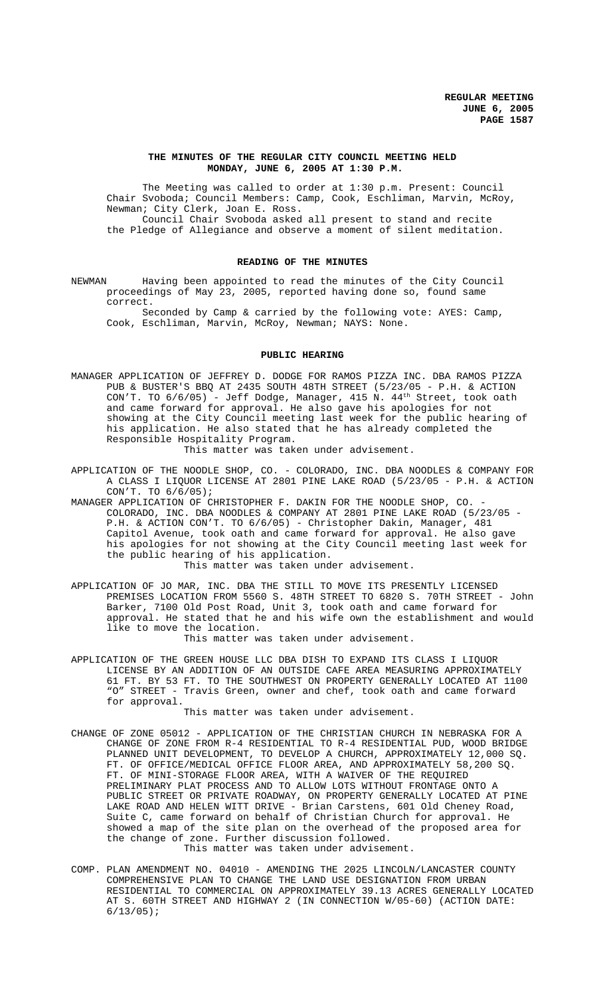### **THE MINUTES OF THE REGULAR CITY COUNCIL MEETING HELD MONDAY, JUNE 6, 2005 AT 1:30 P.M.**

The Meeting was called to order at 1:30 p.m. Present: Council Chair Svoboda; Council Members: Camp, Cook, Eschliman, Marvin, McRoy, Newman; City Clerk, Joan E. Ross.

Council Chair Svoboda asked all present to stand and recite the Pledge of Allegiance and observe a moment of silent meditation.

### **READING OF THE MINUTES**

NEWMAN Having been appointed to read the minutes of the City Council proceedings of May 23, 2005, reported having done so, found same correct.

Seconded by Camp & carried by the following vote: AYES: Camp, Cook, Eschliman, Marvin, McRoy, Newman; NAYS: None.

### **PUBLIC HEARING**

MANAGER APPLICATION OF JEFFREY D. DODGE FOR RAMOS PIZZA INC. DBA RAMOS PIZZA PUB & BUSTER'S BBQ AT 2435 SOUTH 48TH STREET (5/23/05 - P.H. & ACTION CON'T. TO 6/6/05) - Jeff Dodge, Manager, 415 N. 44<sup>th</sup> Street, took oath and came forward for approval. He also gave his apologies for not showing at the City Council meeting last week for the public hearing of his application. He also stated that he has already completed the Responsible Hospitality Program.

This matter was taken under advisement.

- APPLICATION OF THE NOODLE SHOP, CO. COLORADO, INC. DBA NOODLES & COMPANY FOR A CLASS I LIQUOR LICENSE AT 2801 PINE LAKE ROAD (5/23/05 - P.H. & ACTION CON'T. TO 6/6/05);
- MANAGER APPLICATION OF CHRISTOPHER F. DAKIN FOR THE NOODLE SHOP, CO. -COLORADO, INC. DBA NOODLES & COMPANY AT 2801 PINE LAKE ROAD (5/23/05 - P.H. & ACTION CON'T. TO 6/6/05) - Christopher Dakin, Manager, 481 Capitol Avenue, took oath and came forward for approval. He also gave his apologies for not showing at the City Council meeting last week for the public hearing of his application. This matter was taken under advisement.
- APPLICATION OF JO MAR, INC. DBA THE STILL TO MOVE ITS PRESENTLY LICENSED PREMISES LOCATION FROM 5560 S. 48TH STREET TO 6820 S. 70TH STREET - John Barker, 7100 Old Post Road, Unit 3, took oath and came forward for approval. He stated that he and his wife own the establishment and would like to move the location.

This matter was taken under advisement.

APPLICATION OF THE GREEN HOUSE LLC DBA DISH TO EXPAND ITS CLASS I LIQUOR LICENSE BY AN ADDITION OF AN OUTSIDE CAFE AREA MEASURING APPROXIMATELY 61 FT. BY 53 FT. TO THE SOUTHWEST ON PROPERTY GENERALLY LOCATED AT 1100 "O" STREET - Travis Green, owner and chef, took oath and came forward for approval.

This matter was taken under advisement.

- CHANGE OF ZONE 05012 APPLICATION OF THE CHRISTIAN CHURCH IN NEBRASKA FOR A CHANGE OF ZONE FROM R-4 RESIDENTIAL TO R-4 RESIDENTIAL PUD, WOOD BRIDGE PLANNED UNIT DEVELOPMENT, TO DEVELOP A CHURCH, APPROXIMATELY 12,000 SQ. FT. OF OFFICE/MEDICAL OFFICE FLOOR AREA, AND APPROXIMATELY 58,200 SQ. FT. OF MINI-STORAGE FLOOR AREA, WITH A WAIVER OF THE REQUIRED PRELIMINARY PLAT PROCESS AND TO ALLOW LOTS WITHOUT FRONTAGE ONTO A PUBLIC STREET OR PRIVATE ROADWAY, ON PROPERTY GENERALLY LOCATED AT PINE LAKE ROAD AND HELEN WITT DRIVE - Brian Carstens, 601 Old Cheney Road, Suite C, came forward on behalf of Christian Church for approval. He showed a map of the site plan on the overhead of the proposed area for the change of zone. Further discussion followed. This matter was taken under advisement.
- COMP. PLAN AMENDMENT NO. 04010 AMENDING THE 2025 LINCOLN/LANCASTER COUNTY COMPREHENSIVE PLAN TO CHANGE THE LAND USE DESIGNATION FROM URBAN RESIDENTIAL TO COMMERCIAL ON APPROXIMATELY 39.13 ACRES GENERALLY LOCATED AT S. 60TH STREET AND HIGHWAY 2 (IN CONNECTION W/05-60) (ACTION DATE:  $6/13/05$ );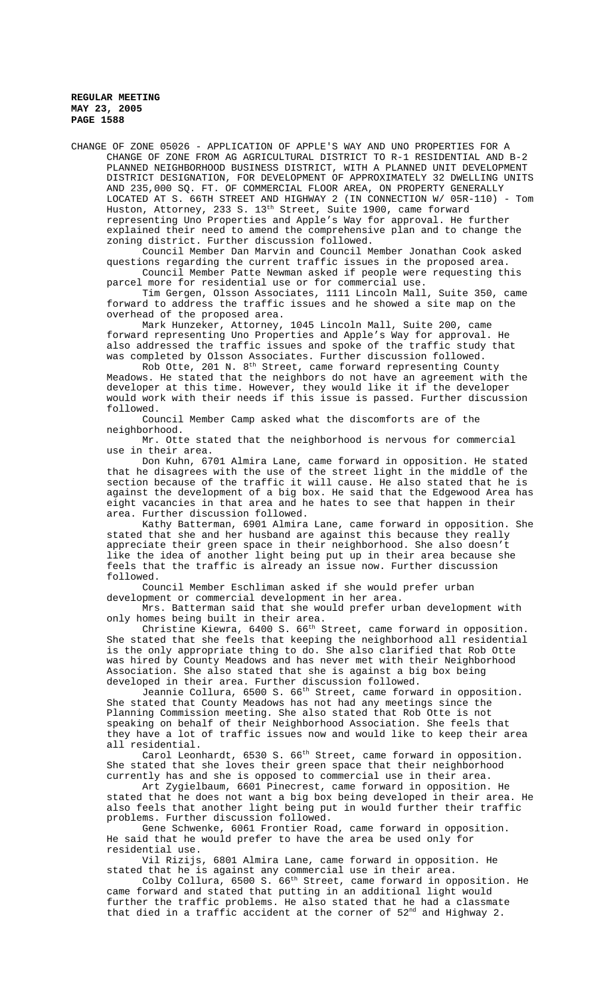CHANGE OF ZONE 05026 - APPLICATION OF APPLE'S WAY AND UNO PROPERTIES FOR A CHANGE OF ZONE FROM AG AGRICULTURAL DISTRICT TO R-1 RESIDENTIAL AND B-2 PLANNED NEIGHBORHOOD BUSINESS DISTRICT, WITH A PLANNED UNIT DEVELOPMENT DISTRICT DESIGNATION, FOR DEVELOPMENT OF APPROXIMATELY 32 DWELLING UNITS AND 235,000 SQ. FT. OF COMMERCIAL FLOOR AREA, ON PROPERTY GENERALLY LOCATED AT S. 66TH STREET AND HIGHWAY 2 (IN CONNECTION W/ 05R-110) - Tom Huston, Attorney, 233 S. 13<sup>th</sup> Street, Suite 1900, came forward representing Uno Properties and Apple's Way for approval. He further explained their need to amend the comprehensive plan and to change the zoning district. Further discussion followed.

Council Member Dan Marvin and Council Member Jonathan Cook asked questions regarding the current traffic issues in the proposed area. Council Member Patte Newman asked if people were requesting this parcel more for residential use or for commercial use.

Tim Gergen, Olsson Associates, 1111 Lincoln Mall, Suite 350, came forward to address the traffic issues and he showed a site map on the overhead of the proposed area.

Mark Hunzeker, Attorney, 1045 Lincoln Mall, Suite 200, came forward representing Uno Properties and Apple's Way for approval. He also addressed the traffic issues and spoke of the traffic study that was completed by Olsson Associates. Further discussion followed.

Rob Otte, 201 N. 8<sup>th</sup> Street, came forward representing County Meadows. He stated that the neighbors do not have an agreement with the developer at this time. However, they would like it if the developer would work with their needs if this issue is passed. Further discussion followed.

Council Member Camp asked what the discomforts are of the neighborhood.

Mr. Otte stated that the neighborhood is nervous for commercial use in their area.

Don Kuhn, 6701 Almira Lane, came forward in opposition. He stated that he disagrees with the use of the street light in the middle of the section because of the traffic it will cause. He also stated that he is against the development of a big box. He said that the Edgewood Area has eight vacancies in that area and he hates to see that happen in their area. Further discussion followed.

Kathy Batterman, 6901 Almira Lane, came forward in opposition. She stated that she and her husband are against this because they really appreciate their green space in their neighborhood. She also doesn't like the idea of another light being put up in their area because she feels that the traffic is already an issue now. Further discussion followed.

Council Member Eschliman asked if she would prefer urban development or commercial development in her area.

Mrs. Batterman said that she would prefer urban development with only homes being built in their area.

Christine Kiewra, 6400 S.  $66^{\text{th}}$  Street, came forward in opposition. She stated that she feels that keeping the neighborhood all residential is the only appropriate thing to do. She also clarified that Rob Otte was hired by County Meadows and has never met with their Neighborhood Association. She also stated that she is against a big box being developed in their area. Further discussion followed.

Jeannie Collura, 6500 S. 66th Street, came forward in opposition. She stated that County Meadows has not had any meetings since the Planning Commission meeting. She also stated that Rob Otte is not speaking on behalf of their Neighborhood Association. She feels that they have a lot of traffic issues now and would like to keep their area all residential.

Carol Leonhardt, 6530 S. 66<sup>th</sup> Street, came forward in opposition. She stated that she loves their green space that their neighborhood currently has and she is opposed to commercial use in their area.

Art Zygielbaum, 6601 Pinecrest, came forward in opposition. He stated that he does not want a big box being developed in their area. He also feels that another light being put in would further their traffic problems. Further discussion followed.

Gene Schwenke, 6061 Frontier Road, came forward in opposition. He said that he would prefer to have the area be used only for residential use.

Vil Rizijs, 6801 Almira Lane, came forward in opposition. He stated that he is against any commercial use in their area.

Colby Collura, 6500 S. 66<sup>th</sup> Street, came forward in opposition. He came forward and stated that putting in an additional light would further the traffic problems. He also stated that he had a classmate that died in a traffic accident at the corner of 52<sup>nd</sup> and Highway 2.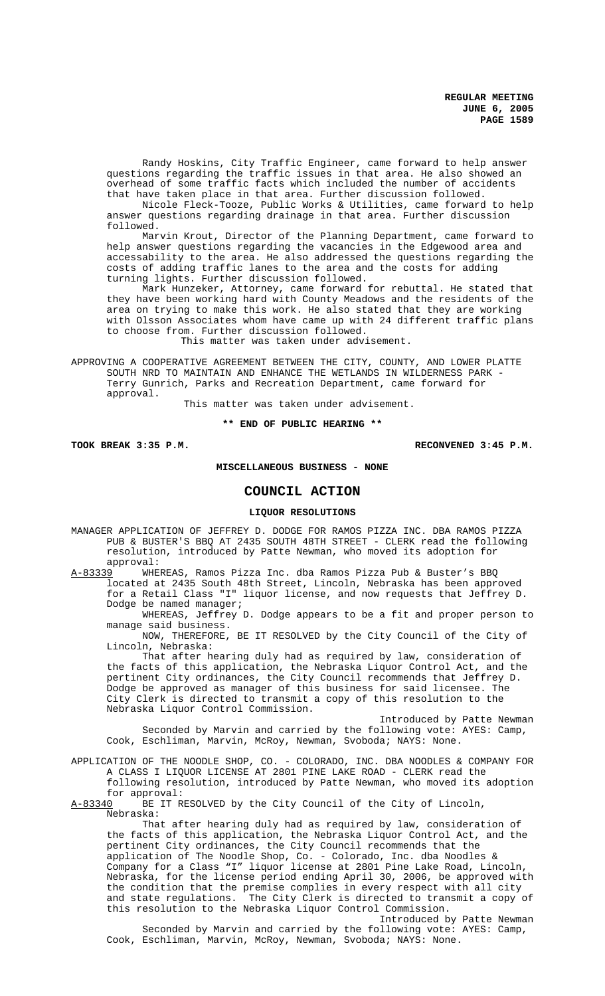Randy Hoskins, City Traffic Engineer, came forward to help answer questions regarding the traffic issues in that area. He also showed an overhead of some traffic facts which included the number of accidents that have taken place in that area. Further discussion followed.

Nicole Fleck-Tooze, Public Works & Utilities, came forward to help answer questions regarding drainage in that area. Further discussion followed.

Marvin Krout, Director of the Planning Department, came forward to help answer questions regarding the vacancies in the Edgewood area and accessability to the area. He also addressed the questions regarding the costs of adding traffic lanes to the area and the costs for adding turning lights. Further discussion followed.

Mark Hunzeker, Attorney, came forward for rebuttal. He stated that they have been working hard with County Meadows and the residents of the area on trying to make this work. He also stated that they are working with Olsson Associates whom have came up with 24 different traffic plans to choose from. Further discussion followed.

This matter was taken under advisement.

APPROVING A COOPERATIVE AGREEMENT BETWEEN THE CITY, COUNTY, AND LOWER PLATTE SOUTH NRD TO MAINTAIN AND ENHANCE THE WETLANDS IN WILDERNESS PARK - Terry Gunrich, Parks and Recreation Department, came forward for approval.

This matter was taken under advisement.

### **\*\* END OF PUBLIC HEARING \*\***

**TOOK BREAK 3:35 P.M. RECONVENED 3:45 P.M.**

# **MISCELLANEOUS BUSINESS - NONE**

# **COUNCIL ACTION**

#### **LIQUOR RESOLUTIONS**

MANAGER APPLICATION OF JEFFREY D. DODGE FOR RAMOS PIZZA INC. DBA RAMOS PIZZA PUB & BUSTER'S BBQ AT 2435 SOUTH 48TH STREET - CLERK read the following resolution, introduced by Patte Newman, who moved its adoption for approval:

A-83339 WHEREAS, Ramos Pizza Inc. dba Ramos Pizza Pub & Buster's BBQ located at 2435 South 48th Street, Lincoln, Nebraska has been approved for a Retail Class "I" liquor license, and now requests that Jeffrey D. Dodge be named manager;

WHEREAS, Jeffrey D. Dodge appears to be a fit and proper person to manage said business.

NOW, THEREFORE, BE IT RESOLVED by the City Council of the City of Lincoln, Nebraska:

That after hearing duly had as required by law, consideration of the facts of this application, the Nebraska Liquor Control Act, and the pertinent City ordinances, the City Council recommends that Jeffrey D. Dodge be approved as manager of this business for said licensee. The City Clerk is directed to transmit a copy of this resolution to the Nebraska Liquor Control Commission.

Introduced by Patte Newman Seconded by Marvin and carried by the following vote: AYES: Camp, Cook, Eschliman, Marvin, McRoy, Newman, Svoboda; NAYS: None.

APPLICATION OF THE NOODLE SHOP, CO. - COLORADO, INC. DBA NOODLES & COMPANY FOR A CLASS I LIQUOR LICENSE AT 2801 PINE LAKE ROAD - CLERK read the following resolution, introduced by Patte Newman, who moved its adoption

for approval:<br>A-83340 BE IT R BE IT RESOLVED by the City Council of the City of Lincoln, Nebraska:

That after hearing duly had as required by law, consideration of the facts of this application, the Nebraska Liquor Control Act, and the pertinent City ordinances, the City Council recommends that the application of The Noodle Shop, Co. - Colorado, Inc. dba Noodles & Company for a Class "I" liquor license at 2801 Pine Lake Road, Lincoln, Nebraska, for the license period ending April 30, 2006, be approved with the condition that the premise complies in every respect with all city and state regulations. The City Clerk is directed to transmit a copy of this resolution to the Nebraska Liquor Control Commission.

Introduced by Patte Newman Seconded by Marvin and carried by the following vote: AYES: Camp, Cook, Eschliman, Marvin, McRoy, Newman, Svoboda; NAYS: None.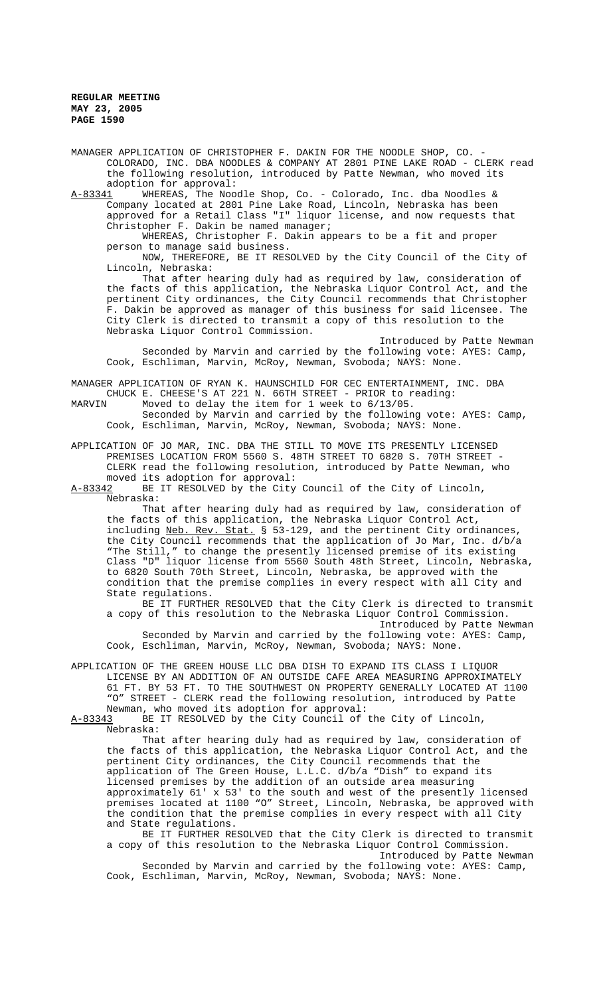MANAGER APPLICATION OF CHRISTOPHER F. DAKIN FOR THE NOODLE SHOP, CO. -COLORADO, INC. DBA NOODLES & COMPANY AT 2801 PINE LAKE ROAD - CLERK read the following resolution, introduced by Patte Newman, who moved its adoption for approval:<br><u>A-83341</u> WHEREAS, The Noo

WHEREAS, The Noodle Shop, Co. - Colorado, Inc. dba Noodles & Company located at 2801 Pine Lake Road, Lincoln, Nebraska has been approved for a Retail Class "I" liquor license, and now requests that Christopher F. Dakin be named manager;

WHEREAS, Christopher F. Dakin appears to be a fit and proper person to manage said business.

NOW, THEREFORE, BE IT RESOLVED by the City Council of the City of Lincoln, Nebraska:

That after hearing duly had as required by law, consideration of the facts of this application, the Nebraska Liquor Control Act, and the pertinent City ordinances, the City Council recommends that Christopher F. Dakin be approved as manager of this business for said licensee. The City Clerk is directed to transmit a copy of this resolution to the Nebraska Liquor Control Commission.

Introduced by Patte Newman Seconded by Marvin and carried by the following vote: AYES: Camp, Cook, Eschliman, Marvin, McRoy, Newman, Svoboda; NAYS: None.

MANAGER APPLICATION OF RYAN K. HAUNSCHILD FOR CEC ENTERTAINMENT, INC. DBA CHUCK E. CHEESE'S AT 221 N. 66TH STREET - PRIOR to reading:<br>MARVIN Moved to delay the item for 1 week to 6/13/05.

Moved to delay the item for 1 week to 6/13/05.

Seconded by Marvin and carried by the following vote: AYES: Camp, Cook, Eschliman, Marvin, McRoy, Newman, Svoboda; NAYS: None.

APPLICATION OF JO MAR, INC. DBA THE STILL TO MOVE ITS PRESENTLY LICENSED PREMISES LOCATION FROM 5560 S. 48TH STREET TO 6820 S. 70TH STREET - CLERK read the following resolution, introduced by Patte Newman, who

moved its adoption for approval:<br>A-83342 BE IT RESOLVED by the City BE IT RESOLVED by the City Council of the City of Lincoln, Nebraska:

That after hearing duly had as required by law, consideration of the facts of this application, the Nebraska Liquor Control Act, including Neb. Rev. Stat. § 53-129, and the pertinent City ordinances, the City Council recommends that the application of Jo Mar, Inc. d/b/a "The Still," to change the presently licensed premise of its existing Class "D" liquor license from 5560 South 48th Street, Lincoln, Nebraska, to 6820 South 70th Street, Lincoln, Nebraska, be approved with the condition that the premise complies in every respect with all City and State regulations.

BE IT FURTHER RESOLVED that the City Clerk is directed to transmit a copy of this resolution to the Nebraska Liquor Control Commission.

Introduced by Patte Newman Seconded by Marvin and carried by the following vote: AYES: Camp, Cook, Eschliman, Marvin, McRoy, Newman, Svoboda; NAYS: None.

APPLICATION OF THE GREEN HOUSE LLC DBA DISH TO EXPAND ITS CLASS I LIQUOR LICENSE BY AN ADDITION OF AN OUTSIDE CAFE AREA MEASURING APPROXIMATELY 61 FT. BY 53 FT. TO THE SOUTHWEST ON PROPERTY GENERALLY LOCATED AT 1100 "O" STREET - CLERK read the following resolution, introduced by Patte Newman, who moved its adoption for approval:<br>A-83343 BE IT RESOLVED by the City Council of

BE IT RESOLVED by the City Council of the City of Lincoln, Nebraska:

That after hearing duly had as required by law, consideration of the facts of this application, the Nebraska Liquor Control Act, and the pertinent City ordinances, the City Council recommends that the application of The Green House, L.L.C. d/b/a "Dish" to expand its licensed premises by the addition of an outside area measuring approximately 61' x 53' to the south and west of the presently licensed premises located at 1100 "O" Street, Lincoln, Nebraska, be approved with the condition that the premise complies in every respect with all City and State regulations.

BE IT FURTHER RESOLVED that the City Clerk is directed to transmit a copy of this resolution to the Nebraska Liquor Control Commission. Introduced by Patte Newman

Seconded by Marvin and carried by the following vote: AYES: Camp, Cook, Eschliman, Marvin, McRoy, Newman, Svoboda; NAYS: None.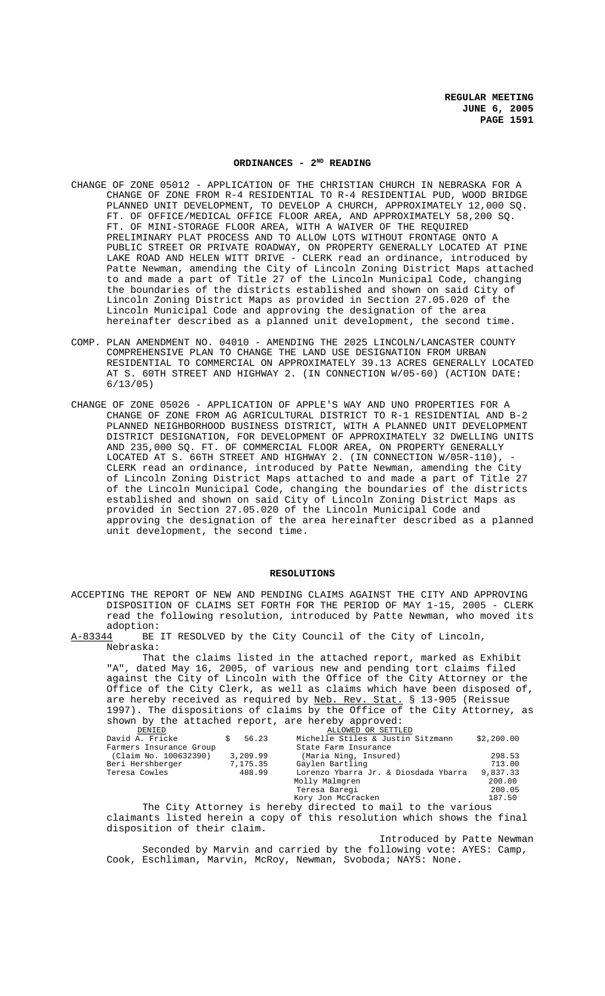# ORDINANCES - 2<sup>ND</sup> READING

- CHANGE OF ZONE 05012 APPLICATION OF THE CHRISTIAN CHURCH IN NEBRASKA FOR A CHANGE OF ZONE FROM R-4 RESIDENTIAL TO R-4 RESIDENTIAL PUD, WOOD BRIDGE PLANNED UNIT DEVELOPMENT, TO DEVELOP A CHURCH, APPROXIMATELY 12,000 SQ. FT. OF OFFICE/MEDICAL OFFICE FLOOR AREA, AND APPROXIMATELY 58,200 SQ. FT. OF MINI-STORAGE FLOOR AREA, WITH A WAIVER OF THE REQUIRED PRELIMINARY PLAT PROCESS AND TO ALLOW LOTS WITHOUT FRONTAGE ONTO A PUBLIC STREET OR PRIVATE ROADWAY, ON PROPERTY GENERALLY LOCATED AT PINE LAKE ROAD AND HELEN WITT DRIVE - CLERK read an ordinance, introduced by Patte Newman, amending the City of Lincoln Zoning District Maps attached to and made a part of Title 27 of the Lincoln Municipal Code, changing the boundaries of the districts established and shown on said City of Lincoln Zoning District Maps as provided in Section 27.05.020 of the Lincoln Municipal Code and approving the designation of the area hereinafter described as a planned unit development, the second time.
- COMP. PLAN AMENDMENT NO. 04010 AMENDING THE 2025 LINCOLN/LANCASTER COUNTY COMPREHENSIVE PLAN TO CHANGE THE LAND USE DESIGNATION FROM URBAN RESIDENTIAL TO COMMERCIAL ON APPROXIMATELY 39.13 ACRES GENERALLY LOCATED AT S. 60TH STREET AND HIGHWAY 2. (IN CONNECTION W/05-60) (ACTION DATE: 6/13/05)
- CHANGE OF ZONE 05026 APPLICATION OF APPLE'S WAY AND UNO PROPERTIES FOR A CHANGE OF ZONE FROM AG AGRICULTURAL DISTRICT TO R-1 RESIDENTIAL AND B-2 PLANNED NEIGHBORHOOD BUSINESS DISTRICT, WITH A PLANNED UNIT DEVELOPMENT DISTRICT DESIGNATION, FOR DEVELOPMENT OF APPROXIMATELY 32 DWELLING UNITS AND 235,000 SQ. FT. OF COMMERCIAL FLOOR AREA, ON PROPERTY GENERALLY LOCATED AT S. 66TH STREET AND HIGHWAY 2. (IN CONNECTION W/05R-110), CLERK read an ordinance, introduced by Patte Newman, amending the City of Lincoln Zoning District Maps attached to and made a part of Title 27 of the Lincoln Municipal Code, changing the boundaries of the districts established and shown on said City of Lincoln Zoning District Maps as provided in Section 27.05.020 of the Lincoln Municipal Code and approving the designation of the area hereinafter described as a planned unit development, the second time.

#### **RESOLUTIONS**

ACCEPTING THE REPORT OF NEW AND PENDING CLAIMS AGAINST THE CITY AND APPROVING DISPOSITION OF CLAIMS SET FORTH FOR THE PERIOD OF MAY 1-15, 2005 - CLERK read the following resolution, introduced by Patte Newman, who moved its adoption:

A-83344 BE IT RESOLVED by the City Council of the City of Lincoln, Nebraska:

That the claims listed in the attached report, marked as Exhibit "A", dated May 16, 2005, of various new and pending tort claims filed against the City of Lincoln with the Office of the City Attorney or the Office of the City Clerk, as well as claims which have been disposed of, are hereby received as required by Neb. Rev. Stat. § 13-905 (Reissue 1997). The dispositions of claims by the Office of the City Attorney, as shown by the attached report, are hereby approved:

| DENIED                  |          | ALLOWED OR SETTLED                   |            |
|-------------------------|----------|--------------------------------------|------------|
| David A. Fricke         | 56.23    | Michelle Stiles & Justin Sitzmann    | \$2,200.00 |
| Farmers Insurance Group |          | State Farm Insurance                 |            |
| (Claim No. 100632390)   | 3,209.99 | (Maria Ning, Insured)                | 298.53     |
| Beri Hershberger        | 7,175.35 | Gaylen Bartling                      | 713.00     |
| Teresa Cowles           | 488.99   | Lorenzo Ybarra Jr. & Diosdada Ybarra | 9,837.33   |
|                         |          | Molly Malmgren                       | 200.00     |
|                         |          | Teresa Baregi                        | 200.05     |
|                         |          | Kory Jon McCracken                   | 187.50     |

The City Attorney is hereby directed to mail to the various claimants listed herein a copy of this resolution which shows the final disposition of their claim.

Introduced by Patte Newman Seconded by Marvin and carried by the following vote: AYES: Camp, Cook, Eschliman, Marvin, McRoy, Newman, Svoboda; NAYS: None.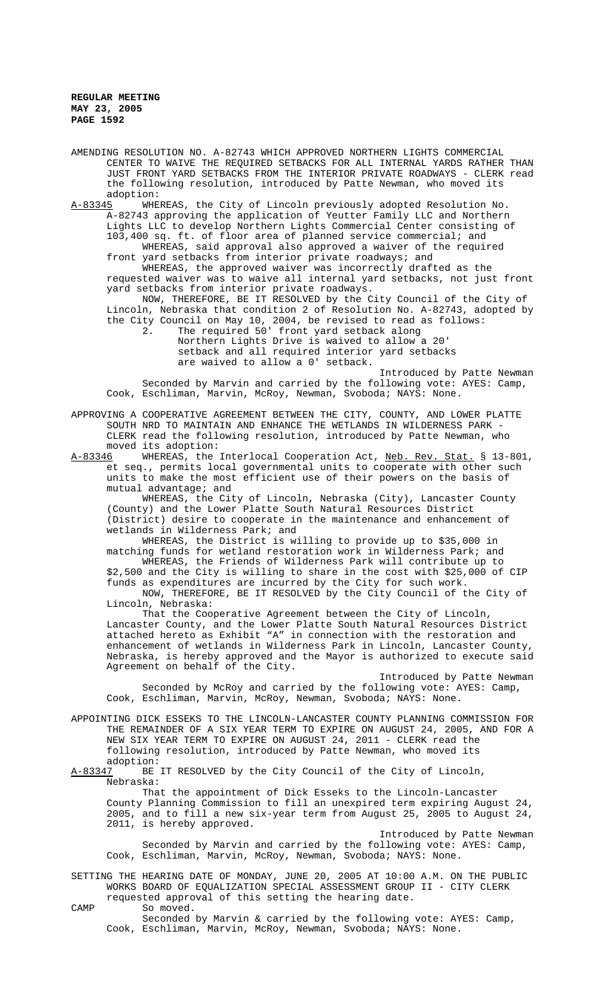AMENDING RESOLUTION NO. A-82743 WHICH APPROVED NORTHERN LIGHTS COMMERCIAL CENTER TO WAIVE THE REQUIRED SETBACKS FOR ALL INTERNAL YARDS RATHER THAN JUST FRONT YARD SETBACKS FROM THE INTERIOR PRIVATE ROADWAYS - CLERK read the following resolution, introduced by Patte Newman, who moved its adoption:

A-83345 WHEREAS, the City of Lincoln previously adopted Resolution No. A-82743 approving the application of Yeutter Family LLC and Northern Lights LLC to develop Northern Lights Commercial Center consisting of 103,400 sq. ft. of floor area of planned service commercial; and

WHEREAS, said approval also approved a waiver of the required front yard setbacks from interior private roadways; and WHEREAS, the approved waiver was incorrectly drafted as the

requested waiver was to waive all internal yard setbacks, not just front yard setbacks from interior private roadways.

NOW, THEREFORE, BE IT RESOLVED by the City Council of the City of Lincoln, Nebraska that condition 2 of Resolution No. A-82743, adopted by the City Council on May 10, 2004, be revised to read as follows:

2. The required 50' front yard setback along Northern Lights Drive is waived to allow a 20' setback and all required interior yard setbacks are waived to allow a 0' setback.

Introduced by Patte Newman Seconded by Marvin and carried by the following vote: AYES: Camp, Cook, Eschliman, Marvin, McRoy, Newman, Svoboda; NAYS: None.

APPROVING A COOPERATIVE AGREEMENT BETWEEN THE CITY, COUNTY, AND LOWER PLATTE SOUTH NRD TO MAINTAIN AND ENHANCE THE WETLANDS IN WILDERNESS PARK CLERK read the following resolution, introduced by Patte Newman, who moved its adoption:<br>A-83346 WHEREAS, the

WHEREAS, the Interlocal Cooperation Act, Neb. Rev. Stat. § 13-801, et seq., permits local governmental units to cooperate with other such units to make the most efficient use of their powers on the basis of mutual advantage; and

WHEREAS, the City of Lincoln, Nebraska (City), Lancaster County (County) and the Lower Platte South Natural Resources District (District) desire to cooperate in the maintenance and enhancement of wetlands in Wilderness Park; and

WHEREAS, the District is willing to provide up to \$35,000 in matching funds for wetland restoration work in Wilderness Park; and WHEREAS, the Friends of Wilderness Park will contribute up to

\$2,500 and the City is willing to share in the cost with \$25,000 of CIP funds as expenditures are incurred by the City for such work.

NOW, THEREFORE, BE IT RESOLVED by the City Council of the City of Lincoln, Nebraska:

That the Cooperative Agreement between the City of Lincoln, Lancaster County, and the Lower Platte South Natural Resources District attached hereto as Exhibit "A" in connection with the restoration and enhancement of wetlands in Wilderness Park in Lincoln, Lancaster County, Nebraska, is hereby approved and the Mayor is authorized to execute said Agreement on behalf of the City.

Introduced by Patte Newman Seconded by McRoy and carried by the following vote: AYES: Camp, Cook, Eschliman, Marvin, McRoy, Newman, Svoboda; NAYS: None.

APPOINTING DICK ESSEKS TO THE LINCOLN-LANCASTER COUNTY PLANNING COMMISSION FOR THE REMAINDER OF A SIX YEAR TERM TO EXPIRE ON AUGUST 24, 2005, AND FOR A NEW SIX YEAR TERM TO EXPIRE ON AUGUST 24, 2011 - CLERK read the following resolution, introduced by Patte Newman, who moved its adoption:

A-83347 BE IT RESOLVED by the City Council of the City of Lincoln, Nebraska:

That the appointment of Dick Esseks to the Lincoln-Lancaster County Planning Commission to fill an unexpired term expiring August 24, 2005, and to fill a new six-year term from August 25, 2005 to August 24, 2011, is hereby approved.

Introduced by Patte Newman Seconded by Marvin and carried by the following vote: AYES: Camp, Cook, Eschliman, Marvin, McRoy, Newman, Svoboda; NAYS: None.

SETTING THE HEARING DATE OF MONDAY, JUNE 20, 2005 AT 10:00 A.M. ON THE PUBLIC WORKS BOARD OF EQUALIZATION SPECIAL ASSESSMENT GROUP II - CITY CLERK requested approval of this setting the hearing date.

CAMP So moved.

Seconded by Marvin & carried by the following vote: AYES: Camp, Cook, Eschliman, Marvin, McRoy, Newman, Svoboda; NAYS: None.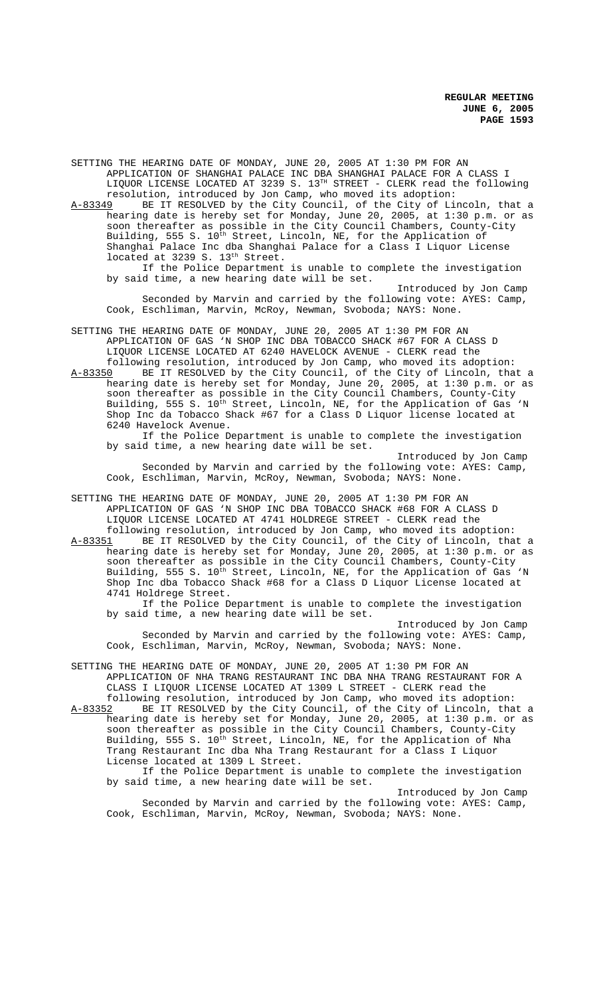SETTING THE HEARING DATE OF MONDAY, JUNE 20, 2005 AT 1:30 PM FOR AN APPLICATION OF SHANGHAI PALACE INC DBA SHANGHAI PALACE FOR A CLASS I LIQUOR LICENSE LOCATED AT 3239 S. 13<sup>TH</sup> STREET - CLERK read the following resolution, introduced by Jon Camp, who moved its adoption: A-83349 BE IT RESOLVED by the City Council, of the City of Lincoln, that a hearing date is hereby set for Monday, June 20, 2005, at 1:30 p.m. or as soon thereafter as possible in the City Council Chambers, County-City Building, 555 S.  $10^{\text{th}}$  Street, Lincoln, NE, for the Application of Shanghai Palace Inc dba Shanghai Palace for a Class I Liquor License located at 3239 S. 13<sup>th</sup> Street. If the Police Department is unable to complete the investigation by said time, a new hearing date will be set. Introduced by Jon Camp Seconded by Marvin and carried by the following vote: AYES: Camp, Cook, Eschliman, Marvin, McRoy, Newman, Svoboda; NAYS: None. SETTING THE HEARING DATE OF MONDAY, JUNE 20, 2005 AT 1:30 PM FOR AN APPLICATION OF GAS 'N SHOP INC DBA TOBACCO SHACK #67 FOR A CLASS D LIQUOR LICENSE LOCATED AT 6240 HAVELOCK AVENUE - CLERK read the following resolution, introduced by Jon Camp, who moved its adoption: A-83350 BE IT RESOLVED by the City Council, of the City of Lincoln, that a hearing date is hereby set for Monday, June 20, 2005, at 1:30 p.m. or as soon thereafter as possible in the City Council Chambers, County-City Building, 555 S.  $10^{\text{th}}$  Street, Lincoln, NE, for the Application of Gas 'N Shop Inc da Tobacco Shack #67 for a Class D Liquor license located at 6240 Havelock Avenue. If the Police Department is unable to complete the investigation by said time, a new hearing date will be set. Introduced by Jon Camp Seconded by Marvin and carried by the following vote: AYES: Camp, Cook, Eschliman, Marvin, McRoy, Newman, Svoboda; NAYS: None. SETTING THE HEARING DATE OF MONDAY, JUNE 20, 2005 AT 1:30 PM FOR AN APPLICATION OF GAS 'N SHOP INC DBA TOBACCO SHACK #68 FOR A CLASS D LIQUOR LICENSE LOCATED AT 4741 HOLDREGE STREET - CLERK read the following resolution, introduced by Jon Camp, who moved its adoption: A-83351 BE IT RESOLVED by the City Council, of the City of Lincoln, that a hearing date is hereby set for Monday, June 20, 2005, at 1:30 p.m. or as soon thereafter as possible in the City Council Chambers, County-City Building, 555 S.  $10^{\text{th}}$  Street, Lincoln, NE, for the Application of Gas 'N Shop Inc dba Tobacco Shack #68 for a Class D Liquor License located at 4741 Holdrege Street. If the Police Department is unable to complete the investigation by said time, a new hearing date will be set. Introduced by Jon Camp

Seconded by Marvin and carried by the following vote: AYES: Camp, Cook, Eschliman, Marvin, McRoy, Newman, Svoboda; NAYS: None.

SETTING THE HEARING DATE OF MONDAY, JUNE 20, 2005 AT 1:30 PM FOR AN APPLICATION OF NHA TRANG RESTAURANT INC DBA NHA TRANG RESTAURANT FOR A CLASS I LIQUOR LICENSE LOCATED AT 1309 L STREET - CLERK read the following resolution, introduced by Jon Camp, who moved its adoption:

A-83352 BE IT RESOLVED by the City Council, of the City of Lincoln, that a hearing date is hereby set for Monday, June 20, 2005, at 1:30 p.m. or as soon thereafter as possible in the City Council Chambers, County-City Building, 555 S. 10<sup>th</sup> Street, Lincoln, NE, for the Application of Nha Trang Restaurant Inc dba Nha Trang Restaurant for a Class I Liquor License located at 1309 L Street.

If the Police Department is unable to complete the investigation by said time, a new hearing date will be set.

Introduced by Jon Camp Seconded by Marvin and carried by the following vote: AYES: Camp, Cook, Eschliman, Marvin, McRoy, Newman, Svoboda; NAYS: None.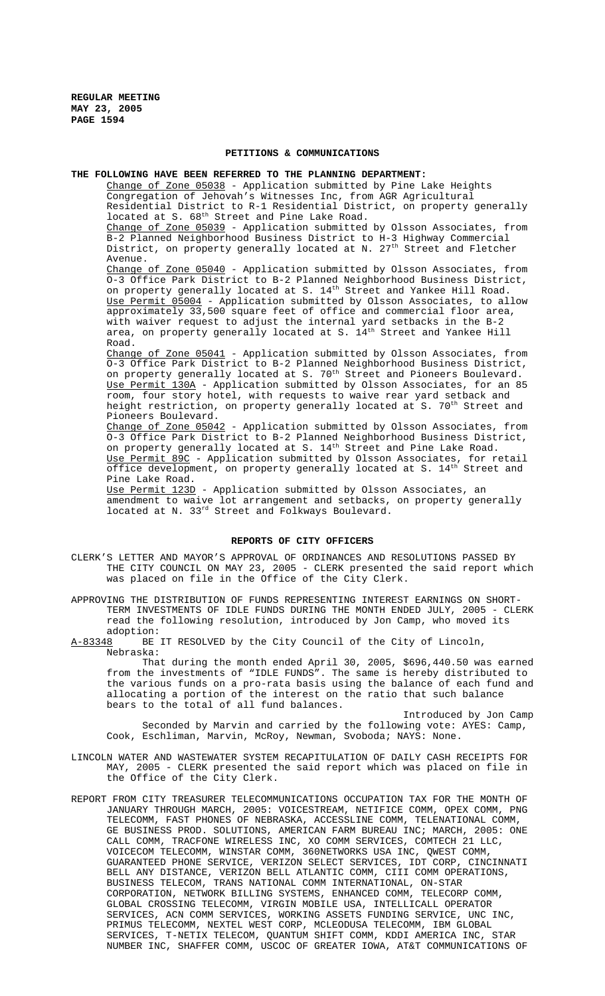### **PETITIONS & COMMUNICATIONS**

### **THE FOLLOWING HAVE BEEN REFERRED TO THE PLANNING DEPARTMENT:**

Change of Zone 05038 - Application submitted by Pine Lake Heights Congregation of Jehovah's Witnesses Inc, from AGR Agricultural Residential District to R-1 Residential District, on property generally located at S.  $68<sup>th</sup>$  Street and Pine Lake Road. Change of Zone 05039 - Application submitted by Olsson Associates, from

B-2 Planned Neighborhood Business District to H-3 Highway Commercial District, on property generally located at N. 27<sup>th</sup> Street and Fletcher Avenue.

Change of Zone 05040 - Application submitted by Olsson Associates, from O-3 Office Park District to B-2 Planned Neighborhood Business District, on property generally located at S.  $14^{th}$  Street and Yankee Hill Road. Use Permit 05004 - Application submitted by Olsson Associates, to allow approximately 33,500 square feet of office and commercial floor area, with waiver request to adjust the internal yard setbacks in the B-2 area, on property generally located at S.  $14^{th}$  Street and Yankee Hill Road.

Change of Zone 05041 - Application submitted by Olsson Associates, from O-3 Office Park District to B-2 Planned Neighborhood Business District, on property generally located at S. 70<sup>th</sup> Street and Pioneers Boulevard. Use Permit 130A - Application submitted by Olsson Associates, for an 85 room, four story hotel, with requests to waive rear yard setback and height restriction, on property generally located at S. 70<sup>th</sup> Street and Pioneers Boulevard.

Change of Zone 05042 - Application submitted by Olsson Associates, from O-3 Office Park District to B-2 Planned Neighborhood Business District, on property generally located at S. 14<sup>th</sup> Street and Pine Lake Road. Use Permit 89C - Application submitted by Olsson Associates, for retail office development, on property generally located at S.  $14^{\rm th}$  Street and Pine Lake Road.

Use Permit 123D - Application submitted by Olsson Associates, an amendment to waive lot arrangement and setbacks, on property generally located at N. 33rd Street and Folkways Boulevard.

#### **REPORTS OF CITY OFFICERS**

CLERK'S LETTER AND MAYOR'S APPROVAL OF ORDINANCES AND RESOLUTIONS PASSED BY THE CITY COUNCIL ON MAY 23, 2005 - CLERK presented the said report which was placed on file in the Office of the City Clerk.

APPROVING THE DISTRIBUTION OF FUNDS REPRESENTING INTEREST EARNINGS ON SHORT-TERM INVESTMENTS OF IDLE FUNDS DURING THE MONTH ENDED JULY, 2005 - CLERK read the following resolution, introduced by Jon Camp, who moved its adoption:

A-83348 BE IT RESOLVED by the City Council of the City of Lincoln, Nebraska:

That during the month ended April 30, 2005, \$696,440.50 was earned from the investments of "IDLE FUNDS". The same is hereby distributed to the various funds on a pro-rata basis using the balance of each fund and allocating a portion of the interest on the ratio that such balance bears to the total of all fund balances.

Introduced by Jon Camp Seconded by Marvin and carried by the following vote: AYES: Camp, Cook, Eschliman, Marvin, McRoy, Newman, Svoboda; NAYS: None.

- LINCOLN WATER AND WASTEWATER SYSTEM RECAPITULATION OF DAILY CASH RECEIPTS FOR MAY, 2005 - CLERK presented the said report which was placed on file in the Office of the City Clerk.
- REPORT FROM CITY TREASURER TELECOMMUNICATIONS OCCUPATION TAX FOR THE MONTH OF JANUARY THROUGH MARCH, 2005: VOICESTREAM, NETIFICE COMM, OPEX COMM, PNG TELECOMM, FAST PHONES OF NEBRASKA, ACCESSLINE COMM, TELENATIONAL COMM, GE BUSINESS PROD. SOLUTIONS, AMERICAN FARM BUREAU INC; MARCH, 2005: ONE CALL COMM, TRACFONE WIRELESS INC, XO COMM SERVICES, COMTECH 21 LLC, VOICECOM TELECOMM, WINSTAR COMM, 360NETWORKS USA INC, QWEST COMM, GUARANTEED PHONE SERVICE, VERIZON SELECT SERVICES, IDT CORP, CINCINNATI BELL ANY DISTANCE, VERIZON BELL ATLANTIC COMM, CIII COMM OPERATIONS, BUSINESS TELECOM, TRANS NATIONAL COMM INTERNATIONAL, ON-STAR CORPORATION, NETWORK BILLING SYSTEMS, ENHANCED COMM, TELECORP COMM, GLOBAL CROSSING TELECOMM, VIRGIN MOBILE USA, INTELLICALL OPERATOR SERVICES, ACN COMM SERVICES, WORKING ASSETS FUNDING SERVICE, UNC INC, PRIMUS TELECOMM, NEXTEL WEST CORP, MCLEODUSA TELECOMM, IBM GLOBAL SERVICES, T-NETIX TELECOM, QUANTUM SHIFT COMM, KDDI AMERICA INC, STAR NUMBER INC, SHAFFER COMM, USCOC OF GREATER IOWA, AT&T COMMUNICATIONS OF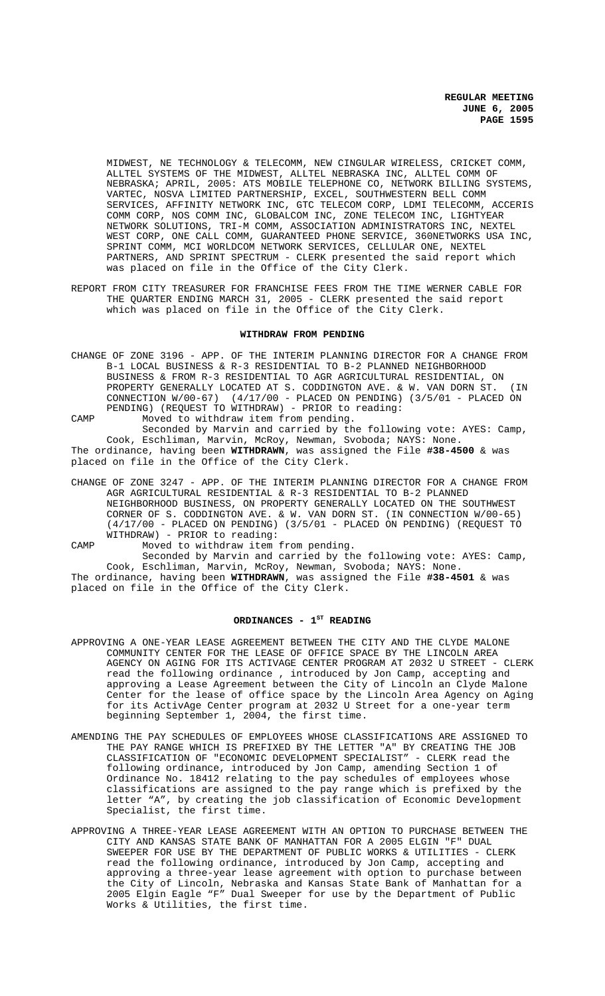MIDWEST, NE TECHNOLOGY & TELECOMM, NEW CINGULAR WIRELESS, CRICKET COMM, ALLTEL SYSTEMS OF THE MIDWEST, ALLTEL NEBRASKA INC, ALLTEL COMM OF NEBRASKA; APRIL, 2005: ATS MOBILE TELEPHONE CO, NETWORK BILLING SYSTEMS, VARTEC, NOSVA LIMITED PARTNERSHIP, EXCEL, SOUTHWESTERN BELL COMM SERVICES, AFFINITY NETWORK INC, GTC TELECOM CORP, LDMI TELECOMM, ACCERIS COMM CORP, NOS COMM INC, GLOBALCOM INC, ZONE TELECOM INC, LIGHTYEAR NETWORK SOLUTIONS, TRI-M COMM, ASSOCIATION ADMINISTRATORS INC, NEXTEL WEST CORP, ONE CALL COMM, GUARANTEED PHONE SERVICE, 360NETWORKS USA INC, SPRINT COMM, MCI WORLDCOM NETWORK SERVICES, CELLULAR ONE, NEXTEL PARTNERS, AND SPRINT SPECTRUM - CLERK presented the said report which was placed on file in the Office of the City Clerk.

REPORT FROM CITY TREASURER FOR FRANCHISE FEES FROM THE TIME WERNER CABLE FOR THE QUARTER ENDING MARCH 31, 2005 - CLERK presented the said report which was placed on file in the Office of the City Clerk.

# **WITHDRAW FROM PENDING**

CHANGE OF ZONE 3196 - APP. OF THE INTERIM PLANNING DIRECTOR FOR A CHANGE FROM B-1 LOCAL BUSINESS & R-3 RESIDENTIAL TO B-2 PLANNED NEIGHBORHOOD BUSINESS & FROM R-3 RESIDENTIAL TO AGR AGRICULTURAL RESIDENTIAL, ON PROPERTY GENERALLY LOCATED AT S. CODDINGTON AVE. & W. VAN DORN ST. (IN CONNECTION W/00-67) (4/17/00 - PLACED ON PENDING) (3/5/01 - PLACED ON PENDING) (REQUEST TO WITHDRAW) - PRIOR to reading:

CAMP Moved to withdraw item from pending. Seconded by Marvin and carried by the following vote: AYES: Camp, Cook, Eschliman, Marvin, McRoy, Newman, Svoboda; NAYS: None. The ordinance, having been **WITHDRAWN**, was assigned the File **#38-4500** & was placed on file in the Office of the City Clerk.

CHANGE OF ZONE 3247 - APP. OF THE INTERIM PLANNING DIRECTOR FOR A CHANGE FROM AGR AGRICULTURAL RESIDENTIAL & R-3 RESIDENTIAL TO B-2 PLANNED NEIGHBORHOOD BUSINESS, ON PROPERTY GENERALLY LOCATED ON THE SOUTHWEST CORNER OF S. CODDINGTON AVE. & W. VAN DORN ST. (IN CONNECTION W/00-65) (4/17/00 - PLACED ON PENDING) (3/5/01 - PLACED ON PENDING) (REQUEST TO WITHDRAW) - PRIOR to reading:

CAMP Moved to withdraw item from pending.

Seconded by Marvin and carried by the following vote: AYES: Camp, Cook, Eschliman, Marvin, McRoy, Newman, Svoboda; NAYS: None. The ordinance, having been **WITHDRAWN**, was assigned the File **#38-4501** & was placed on file in the Office of the City Clerk.

#### ORDINANCES - 1<sup>ST</sup> READING

- APPROVING A ONE-YEAR LEASE AGREEMENT BETWEEN THE CITY AND THE CLYDE MALONE COMMUNITY CENTER FOR THE LEASE OF OFFICE SPACE BY THE LINCOLN AREA AGENCY ON AGING FOR ITS ACTIVAGE CENTER PROGRAM AT 2032 U STREET - CLERK read the following ordinance , introduced by Jon Camp, accepting and approving a Lease Agreement between the City of Lincoln an Clyde Malone Center for the lease of office space by the Lincoln Area Agency on Aging for its ActivAge Center program at 2032 U Street for a one-year term beginning September 1, 2004, the first time.
- AMENDING THE PAY SCHEDULES OF EMPLOYEES WHOSE CLASSIFICATIONS ARE ASSIGNED TO THE PAY RANGE WHICH IS PREFIXED BY THE LETTER "A" BY CREATING THE JOB CLASSIFICATION OF "ECONOMIC DEVELOPMENT SPECIALIST" - CLERK read the following ordinance, introduced by Jon Camp, amending Section 1 of Ordinance No. 18412 relating to the pay schedules of employees whose classifications are assigned to the pay range which is prefixed by the letter "A", by creating the job classification of Economic Development Specialist, the first time.
- APPROVING A THREE-YEAR LEASE AGREEMENT WITH AN OPTION TO PURCHASE BETWEEN THE CITY AND KANSAS STATE BANK OF MANHATTAN FOR A 2005 ELGIN "F" DUAL SWEEPER FOR USE BY THE DEPARTMENT OF PUBLIC WORKS & UTILITIES - CLERK read the following ordinance, introduced by Jon Camp, accepting and approving a three-year lease agreement with option to purchase between the City of Lincoln, Nebraska and Kansas State Bank of Manhattan for a 2005 Elgin Eagle "F" Dual Sweeper for use by the Department of Public Works & Utilities, the first time.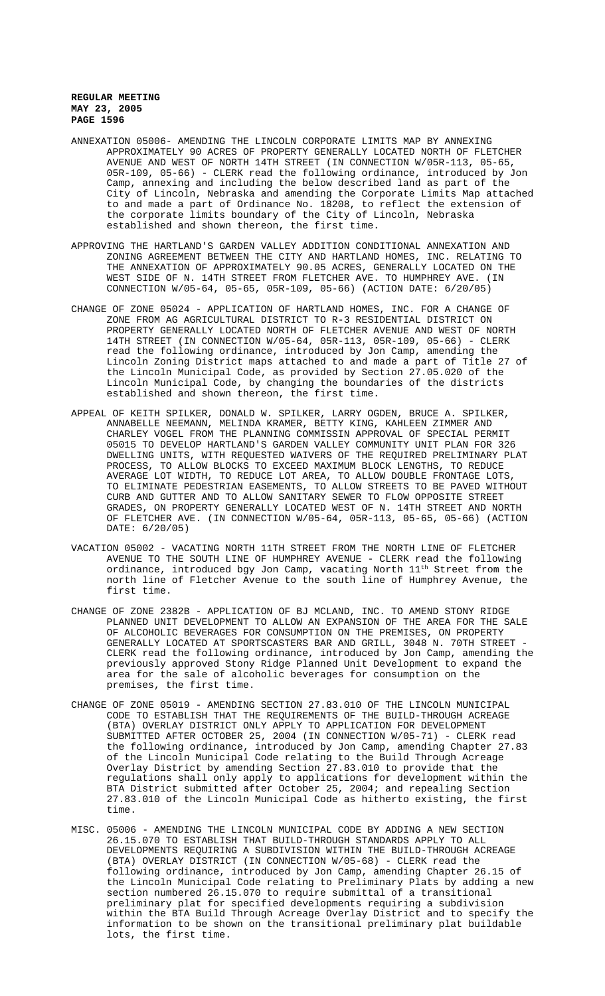- ANNEXATION 05006- AMENDING THE LINCOLN CORPORATE LIMITS MAP BY ANNEXING APPROXIMATELY 90 ACRES OF PROPERTY GENERALLY LOCATED NORTH OF FLETCHER AVENUE AND WEST OF NORTH 14TH STREET (IN CONNECTION W/05R-113, 05-65, 05R-109, 05-66) - CLERK read the following ordinance, introduced by Jon Camp, annexing and including the below described land as part of the City of Lincoln, Nebraska and amending the Corporate Limits Map attached to and made a part of Ordinance No. 18208, to reflect the extension of the corporate limits boundary of the City of Lincoln, Nebraska established and shown thereon, the first time.
- APPROVING THE HARTLAND'S GARDEN VALLEY ADDITION CONDITIONAL ANNEXATION AND ZONING AGREEMENT BETWEEN THE CITY AND HARTLAND HOMES, INC. RELATING TO THE ANNEXATION OF APPROXIMATELY 90.05 ACRES, GENERALLY LOCATED ON THE WEST SIDE OF N. 14TH STREET FROM FLETCHER AVE. TO HUMPHREY AVE. (IN CONNECTION W/05-64, 05-65, 05R-109, 05-66) (ACTION DATE: 6/20/05)
- CHANGE OF ZONE 05024 APPLICATION OF HARTLAND HOMES, INC. FOR A CHANGE OF ZONE FROM AG AGRICULTURAL DISTRICT TO R-3 RESIDENTIAL DISTRICT ON PROPERTY GENERALLY LOCATED NORTH OF FLETCHER AVENUE AND WEST OF NORTH 14TH STREET (IN CONNECTION W/05-64, 05R-113, 05R-109, 05-66) - CLERK read the following ordinance, introduced by Jon Camp, amending the Lincoln Zoning District maps attached to and made a part of Title 27 of the Lincoln Municipal Code, as provided by Section 27.05.020 of the Lincoln Municipal Code, by changing the boundaries of the districts established and shown thereon, the first time.
- APPEAL OF KEITH SPILKER, DONALD W. SPILKER, LARRY OGDEN, BRUCE A. SPILKER, ANNABELLE NEEMANN, MELINDA KRAMER, BETTY KING, KAHLEEN ZIMMER AND CHARLEY VOGEL FROM THE PLANNING COMMISSIN APPROVAL OF SPECIAL PERMIT 05015 TO DEVELOP HARTLAND'S GARDEN VALLEY COMMUNITY UNIT PLAN FOR 326 DWELLING UNITS, WITH REQUESTED WAIVERS OF THE REQUIRED PRELIMINARY PLAT PROCESS, TO ALLOW BLOCKS TO EXCEED MAXIMUM BLOCK LENGTHS, TO REDUCE AVERAGE LOT WIDTH, TO REDUCE LOT AREA, TO ALLOW DOUBLE FRONTAGE LOTS, TO ELIMINATE PEDESTRIAN EASEMENTS, TO ALLOW STREETS TO BE PAVED WITHOUT CURB AND GUTTER AND TO ALLOW SANITARY SEWER TO FLOW OPPOSITE STREET GRADES, ON PROPERTY GENERALLY LOCATED WEST OF N. 14TH STREET AND NORTH OF FLETCHER AVE. (IN CONNECTION W/05-64, 05R-113, 05-65, 05-66) (ACTION DATE: 6/20/05)
- VACATION 05002 VACATING NORTH 11TH STREET FROM THE NORTH LINE OF FLETCHER AVENUE TO THE SOUTH LINE OF HUMPHREY AVENUE - CLERK read the following ordinance, introduced bgy Jon Camp, vacating North 11<sup>th</sup> Street from the north line of Fletcher Avenue to the south line of Humphrey Avenue, the first time.
- CHANGE OF ZONE 2382B APPLICATION OF BJ MCLAND, INC. TO AMEND STONY RIDGE PLANNED UNIT DEVELOPMENT TO ALLOW AN EXPANSION OF THE AREA FOR THE SALE OF ALCOHOLIC BEVERAGES FOR CONSUMPTION ON THE PREMISES, ON PROPERTY GENERALLY LOCATED AT SPORTSCASTERS BAR AND GRILL, 3048 N. 70TH STREET CLERK read the following ordinance, introduced by Jon Camp, amending the previously approved Stony Ridge Planned Unit Development to expand the area for the sale of alcoholic beverages for consumption on the premises, the first time.
- CHANGE OF ZONE 05019 AMENDING SECTION 27.83.010 OF THE LINCOLN MUNICIPAL CODE TO ESTABLISH THAT THE REQUIREMENTS OF THE BUILD-THROUGH ACREAGE (BTA) OVERLAY DISTRICT ONLY APPLY TO APPLICATION FOR DEVELOPMENT SUBMITTED AFTER OCTOBER 25, 2004 (IN CONNECTION W/05-71) - CLERK read the following ordinance, introduced by Jon Camp, amending Chapter 27.83 of the Lincoln Municipal Code relating to the Build Through Acreage Overlay District by amending Section 27.83.010 to provide that the regulations shall only apply to applications for development within the BTA District submitted after October 25, 2004; and repealing Section 27.83.010 of the Lincoln Municipal Code as hitherto existing, the first time.
- MISC. 05006 AMENDING THE LINCOLN MUNICIPAL CODE BY ADDING A NEW SECTION 26.15.070 TO ESTABLISH THAT BUILD-THROUGH STANDARDS APPLY TO ALL DEVELOPMENTS REQUIRING A SUBDIVISION WITHIN THE BUILD-THROUGH ACREAGE (BTA) OVERLAY DISTRICT (IN CONNECTION W/05-68) - CLERK read the following ordinance, introduced by Jon Camp, amending Chapter 26.15 of the Lincoln Municipal Code relating to Preliminary Plats by adding a new section numbered 26.15.070 to require submittal of a transitional preliminary plat for specified developments requiring a subdivision within the BTA Build Through Acreage Overlay District and to specify the information to be shown on the transitional preliminary plat buildable lots, the first time.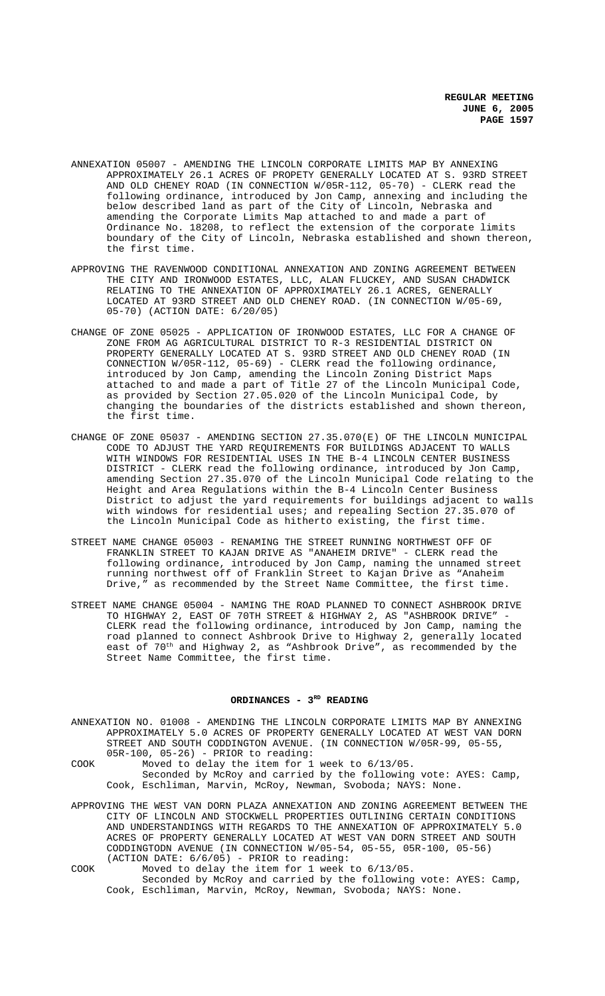- ANNEXATION 05007 AMENDING THE LINCOLN CORPORATE LIMITS MAP BY ANNEXING APPROXIMATELY 26.1 ACRES OF PROPETY GENERALLY LOCATED AT S. 93RD STREET AND OLD CHENEY ROAD (IN CONNECTION W/05R-112, 05-70) - CLERK read the following ordinance, introduced by Jon Camp, annexing and including the below described land as part of the City of Lincoln, Nebraska and amending the Corporate Limits Map attached to and made a part of Ordinance No. 18208, to reflect the extension of the corporate limits boundary of the City of Lincoln, Nebraska established and shown thereon, the first time.
- APPROVING THE RAVENWOOD CONDITIONAL ANNEXATION AND ZONING AGREEMENT BETWEEN THE CITY AND IRONWOOD ESTATES, LLC, ALAN FLUCKEY, AND SUSAN CHADWICK RELATING TO THE ANNEXATION OF APPROXIMATELY 26.1 ACRES, GENERALLY LOCATED AT 93RD STREET AND OLD CHENEY ROAD. (IN CONNECTION W/05-69, 05-70) (ACTION DATE: 6/20/05)
- CHANGE OF ZONE 05025 APPLICATION OF IRONWOOD ESTATES, LLC FOR A CHANGE OF ZONE FROM AG AGRICULTURAL DISTRICT TO R-3 RESIDENTIAL DISTRICT ON PROPERTY GENERALLY LOCATED AT S. 93RD STREET AND OLD CHENEY ROAD (IN CONNECTION W/05R-112, 05-69) - CLERK read the following ordinance, introduced by Jon Camp, amending the Lincoln Zoning District Maps attached to and made a part of Title 27 of the Lincoln Municipal Code, as provided by Section 27.05.020 of the Lincoln Municipal Code, by changing the boundaries of the districts established and shown thereon, the first time.
- CHANGE OF ZONE 05037 AMENDING SECTION 27.35.070(E) OF THE LINCOLN MUNICIPAL CODE TO ADJUST THE YARD REQUIREMENTS FOR BUILDINGS ADJACENT TO WALLS WITH WINDOWS FOR RESIDENTIAL USES IN THE B-4 LINCOLN CENTER BUSINESS DISTRICT - CLERK read the following ordinance, introduced by Jon Camp, amending Section 27.35.070 of the Lincoln Municipal Code relating to the Height and Area Regulations within the B-4 Lincoln Center Business District to adjust the yard requirements for buildings adjacent to walls with windows for residential uses; and repealing Section 27.35.070 of the Lincoln Municipal Code as hitherto existing, the first time.
- STREET NAME CHANGE 05003 RENAMING THE STREET RUNNING NORTHWEST OFF OF FRANKLIN STREET TO KAJAN DRIVE AS "ANAHEIM DRIVE" - CLERK read the following ordinance, introduced by Jon Camp, naming the unnamed street running northwest off of Franklin Street to Kajan Drive as "Anaheim<br>Drive." as recommended by the Street Name Committee, the first time. as recommended by the Street Name Committee, the first time.
- STREET NAME CHANGE 05004 NAMING THE ROAD PLANNED TO CONNECT ASHBROOK DRIVE TO HIGHWAY 2, EAST OF 70TH STREET & HIGHWAY 2, AS "ASHBROOK DRIVE" - CLERK read the following ordinance, introduced by Jon Camp, naming the road planned to connect Ashbrook Drive to Highway 2, generally located east of  $70^{\rm th}$  and Highway 2, as "Ashbrook Drive", as recommended by the Street Name Committee, the first time.

### ORDINANCES - 3<sup>RD</sup> READING

- ANNEXATION NO. 01008 AMENDING THE LINCOLN CORPORATE LIMITS MAP BY ANNEXING APPROXIMATELY 5.0 ACRES OF PROPERTY GENERALLY LOCATED AT WEST VAN DORN STREET AND SOUTH CODDINGTON AVENUE. (IN CONNECTION W/05R-99, 05-55, 05R-100, 05-26) - PRIOR to reading:
- COOK Moved to delay the item for 1 week to 6/13/05. Seconded by McRoy and carried by the following vote: AYES: Camp, Cook, Eschliman, Marvin, McRoy, Newman, Svoboda; NAYS: None.
- APPROVING THE WEST VAN DORN PLAZA ANNEXATION AND ZONING AGREEMENT BETWEEN THE CITY OF LINCOLN AND STOCKWELL PROPERTIES OUTLINING CERTAIN CONDITIONS AND UNDERSTANDINGS WITH REGARDS TO THE ANNEXATION OF APPROXIMATELY 5.0 ACRES OF PROPERTY GENERALLY LOCATED AT WEST VAN DORN STREET AND SOUTH CODDINGTODN AVENUE (IN CONNECTION W/05-54, 05-55, 05R-100, 05-56) (ACTION DATE: 6/6/05) - PRIOR to reading:
- COOK Moved to delay the item for 1 week to 6/13/05. Seconded by McRoy and carried by the following vote: AYES: Camp, Cook, Eschliman, Marvin, McRoy, Newman, Svoboda; NAYS: None.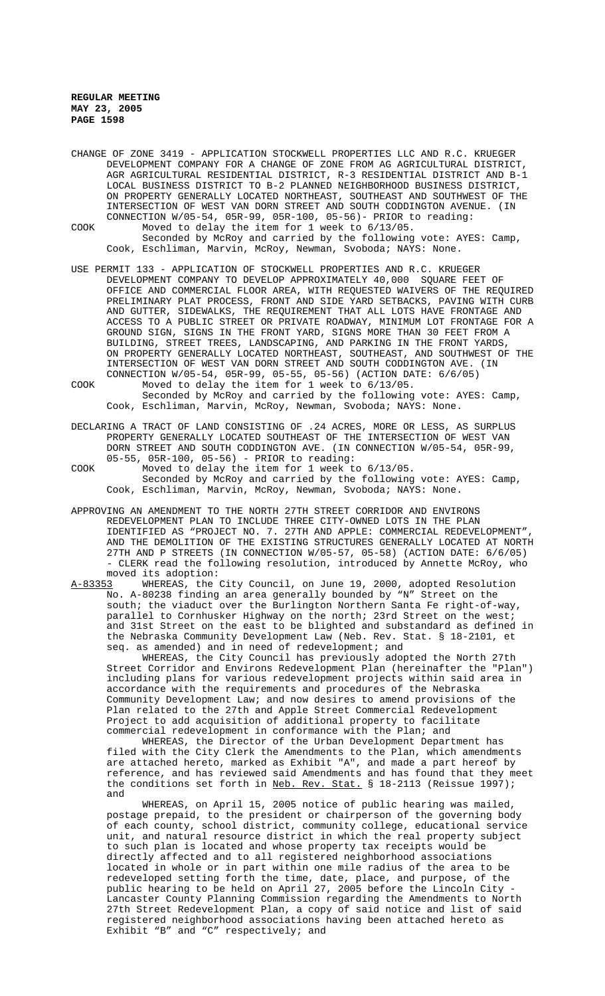CHANGE OF ZONE 3419 - APPLICATION STOCKWELL PROPERTIES LLC AND R.C. KRUEGER DEVELOPMENT COMPANY FOR A CHANGE OF ZONE FROM AG AGRICULTURAL DISTRICT, AGR AGRICULTURAL RESIDENTIAL DISTRICT, R-3 RESIDENTIAL DISTRICT AND B-1 LOCAL BUSINESS DISTRICT TO B-2 PLANNED NEIGHBORHOOD BUSINESS DISTRICT, ON PROPERTY GENERALLY LOCATED NORTHEAST, SOUTHEAST AND SOUTHWEST OF THE INTERSECTION OF WEST VAN DORN STREET AND SOUTH CODDINGTON AVENUE. (IN CONNECTION W/05-54, 05R-99, 05R-100, 05-56)- PRIOR to reading:

- COOK Moved to delay the item for 1 week to 6/13/05. Seconded by McRoy and carried by the following vote: AYES: Camp, Cook, Eschliman, Marvin, McRoy, Newman, Svoboda; NAYS: None.
- USE PERMIT 133 APPLICATION OF STOCKWELL PROPERTIES AND R.C. KRUEGER DEVELOPMENT COMPANY TO DEVELOP APPROXIMATELY 40,000 SQUARE FEET OF OFFICE AND COMMERCIAL FLOOR AREA, WITH REQUESTED WAIVERS OF THE REQUIRED PRELIMINARY PLAT PROCESS, FRONT AND SIDE YARD SETBACKS, PAVING WITH CURB AND GUTTER, SIDEWALKS, THE REQUIREMENT THAT ALL LOTS HAVE FRONTAGE AND ACCESS TO A PUBLIC STREET OR PRIVATE ROADWAY, MINIMUM LOT FRONTAGE FOR A GROUND SIGN, SIGNS IN THE FRONT YARD, SIGNS MORE THAN 30 FEET FROM A BUILDING, STREET TREES, LANDSCAPING, AND PARKING IN THE FRONT YARDS, ON PROPERTY GENERALLY LOCATED NORTHEAST, SOUTHEAST, AND SOUTHWEST OF THE INTERSECTION OF WEST VAN DORN STREET AND SOUTH CODDINGTON AVE. (IN CONNECTION W/05-54, 05R-99, 05-55, 05-56) (ACTION DATE: 6/6/05)

COOK Moved to delay the item for 1 week to 6/13/05. Seconded by McRoy and carried by the following vote: AYES: Camp, Cook, Eschliman, Marvin, McRoy, Newman, Svoboda; NAYS: None.

- DECLARING A TRACT OF LAND CONSISTING OF .24 ACRES, MORE OR LESS, AS SURPLUS PROPERTY GENERALLY LOCATED SOUTHEAST OF THE INTERSECTION OF WEST VAN DORN STREET AND SOUTH CODDINGTON AVE. (IN CONNECTION W/05-54, 05R-99, 05-55, 05R-100, 05-56) - PRIOR to reading:
- COOK Moved to delay the item for 1 week to 6/13/05. Seconded by McRoy and carried by the following vote: AYES: Camp, Cook, Eschliman, Marvin, McRoy, Newman, Svoboda; NAYS: None.
- APPROVING AN AMENDMENT TO THE NORTH 27TH STREET CORRIDOR AND ENVIRONS REDEVELOPMENT PLAN TO INCLUDE THREE CITY-OWNED LOTS IN THE PLAN IDENTIFIED AS "PROJECT NO. 7. 27TH AND APPLE: COMMERCIAL REDEVELOPMENT", AND THE DEMOLITION OF THE EXISTING STRUCTURES GENERALLY LOCATED AT NORTH 27TH AND P STREETS (IN CONNECTION W/05-57, 05-58) (ACTION DATE: 6/6/05) - CLERK read the following resolution, introduced by Annette McRoy, who moved its adoption:<br>A-83353 WHEREAS, the
- WHEREAS, the City Council, on June 19, 2000, adopted Resolution No. A-80238 finding an area generally bounded by "N" Street on the south; the viaduct over the Burlington Northern Santa Fe right-of-way, parallel to Cornhusker Highway on the north; 23rd Street on the west; and 31st Street on the east to be blighted and substandard as defined in the Nebraska Community Development Law (Neb. Rev. Stat. § 18-2101, et seq. as amended) and in need of redevelopment; and

WHEREAS, the City Council has previously adopted the North 27th Street Corridor and Environs Redevelopment Plan (hereinafter the "Plan") including plans for various redevelopment projects within said area in accordance with the requirements and procedures of the Nebraska Community Development Law; and now desires to amend provisions of the Plan related to the 27th and Apple Street Commercial Redevelopment Project to add acquisition of additional property to facilitate commercial redevelopment in conformance with the Plan; and

WHEREAS, the Director of the Urban Development Department has filed with the City Clerk the Amendments to the Plan, which amendments are attached hereto, marked as Exhibit "A", and made a part hereof by reference, and has reviewed said Amendments and has found that they meet the conditions set forth in Neb. Rev. Stat. § 18-2113 (Reissue 1997); and

WHEREAS, on April 15, 2005 notice of public hearing was mailed, postage prepaid, to the president or chairperson of the governing body of each county, school district, community college, educational service unit, and natural resource district in which the real property subject to such plan is located and whose property tax receipts would be directly affected and to all registered neighborhood associations located in whole or in part within one mile radius of the area to be redeveloped setting forth the time, date, place, and purpose, of the public hearing to be held on April 27, 2005 before the Lincoln City - Lancaster County Planning Commission regarding the Amendments to North 27th Street Redevelopment Plan, a copy of said notice and list of said registered neighborhood associations having been attached hereto as Exhibit "B" and "C" respectively; and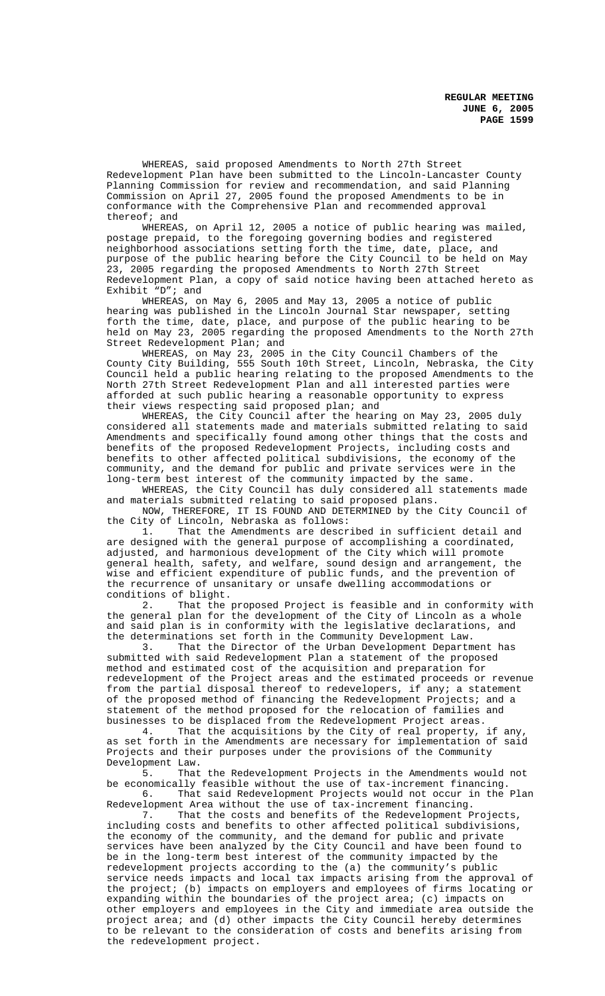WHEREAS, said proposed Amendments to North 27th Street Redevelopment Plan have been submitted to the Lincoln-Lancaster County Planning Commission for review and recommendation, and said Planning Commission on April 27, 2005 found the proposed Amendments to be in conformance with the Comprehensive Plan and recommended approval thereof; and<br>WHEREAS.

on April 12, 2005 a notice of public hearing was mailed, postage prepaid, to the foregoing governing bodies and registered neighborhood associations setting forth the time, date, place, and purpose of the public hearing before the City Council to be held on May 23, 2005 regarding the proposed Amendments to North 27th Street Redevelopment Plan, a copy of said notice having been attached hereto as Exhibit "D"; and

WHEREAS, on May 6, 2005 and May 13, 2005 a notice of public hearing was published in the Lincoln Journal Star newspaper, setting forth the time, date, place, and purpose of the public hearing to be held on May 23, 2005 regarding the proposed Amendments to the North 27th Street Redevelopment Plan; and

WHEREAS, on May 23, 2005 in the City Council Chambers of the County City Building, 555 South 10th Street, Lincoln, Nebraska, the City Council held a public hearing relating to the proposed Amendments to the North 27th Street Redevelopment Plan and all interested parties were afforded at such public hearing a reasonable opportunity to express their views respecting said proposed plan; and

WHEREAS, the City Council after the hearing on May 23, 2005 duly considered all statements made and materials submitted relating to said Amendments and specifically found among other things that the costs and benefits of the proposed Redevelopment Projects, including costs and benefits to other affected political subdivisions, the economy of the community, and the demand for public and private services were in the long-term best interest of the community impacted by the same.

WHEREAS, the City Council has duly considered all statements made and materials submitted relating to said proposed plans.

NOW, THEREFORE, IT IS FOUND AND DETERMINED by the City Council of the City of Lincoln, Nebraska as follows:

1. That the Amendments are described in sufficient detail and are designed with the general purpose of accomplishing a coordinated, adjusted, and harmonious development of the City which will promote general health, safety, and welfare, sound design and arrangement, the wise and efficient expenditure of public funds, and the prevention of the recurrence of unsanitary or unsafe dwelling accommodations or conditions of blight.

2. That the proposed Project is feasible and in conformity with the general plan for the development of the City of Lincoln as a whole and said plan is in conformity with the legislative declarations, and the determinations set forth in the Community Development Law.

3. That the Director of the Urban Development Department has submitted with said Redevelopment Plan a statement of the proposed method and estimated cost of the acquisition and preparation for redevelopment of the Project areas and the estimated proceeds or revenue from the partial disposal thereof to redevelopers, if any; a statement of the proposed method of financing the Redevelopment Projects; and a statement of the method proposed for the relocation of families and businesses to be displaced from the Redevelopment Project areas.

4. That the acquisitions by the City of real property, if any, as set forth in the Amendments are necessary for implementation of said Projects and their purposes under the provisions of the Community Development Law.

5. That the Redevelopment Projects in the Amendments would not be economically feasible without the use of tax-increment financing. 6. That said Redevelopment Projects would not occur in the Plan

Redevelopment Area without the use of tax-increment financing. 7. That the costs and benefits of the Redevelopment Projects, including costs and benefits to other affected political subdivisions, the economy of the community, and the demand for public and private services have been analyzed by the City Council and have been found to be in the long-term best interest of the community impacted by the redevelopment projects according to the (a) the community's public service needs impacts and local tax impacts arising from the approval of the project; (b) impacts on employers and employees of firms locating or expanding within the boundaries of the project area; (c) impacts on other employers and employees in the City and immediate area outside the project area; and (d) other impacts the City Council hereby determines to be relevant to the consideration of costs and benefits arising from the redevelopment project.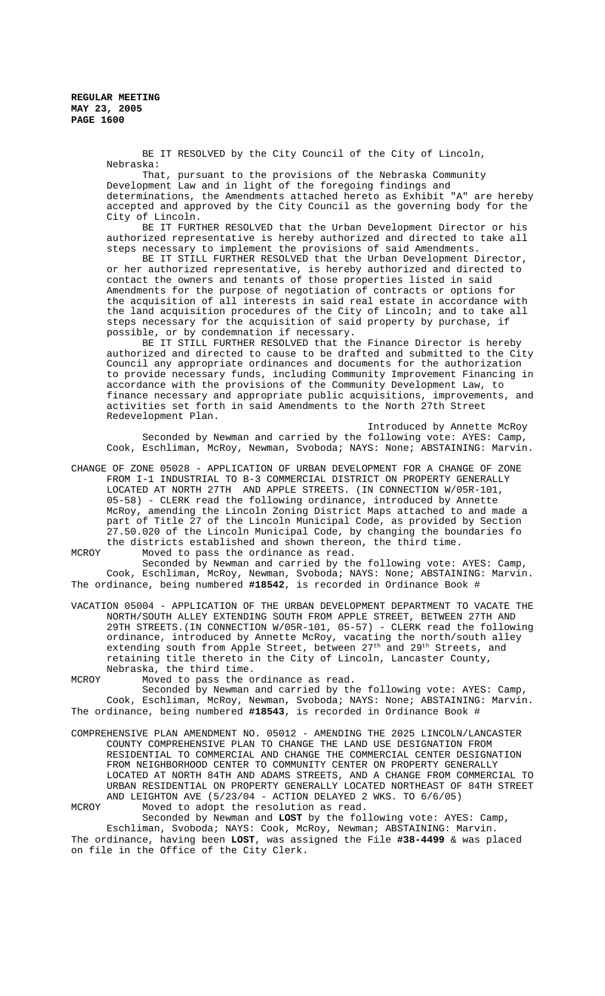> BE IT RESOLVED by the City Council of the City of Lincoln, Nebraska:

That, pursuant to the provisions of the Nebraska Community Development Law and in light of the foregoing findings and determinations, the Amendments attached hereto as Exhibit "A" are hereby accepted and approved by the City Council as the governing body for the City of Lincoln.

BE IT FURTHER RESOLVED that the Urban Development Director or his authorized representative is hereby authorized and directed to take all steps necessary to implement the provisions of said Amendments.

BE IT STILL FURTHER RESOLVED that the Urban Development Director, or her authorized representative, is hereby authorized and directed to contact the owners and tenants of those properties listed in said Amendments for the purpose of negotiation of contracts or options for the acquisition of all interests in said real estate in accordance with the land acquisition procedures of the City of Lincoln; and to take all steps necessary for the acquisition of said property by purchase, if possible, or by condemnation if necessary.

BE IT STILL FURTHER RESOLVED that the Finance Director is hereby authorized and directed to cause to be drafted and submitted to the City Council any appropriate ordinances and documents for the authorization to provide necessary funds, including Community Improvement Financing in accordance with the provisions of the Community Development Law, to finance necessary and appropriate public acquisitions, improvements, and activities set forth in said Amendments to the North 27th Street Redevelopment Plan.

Introduced by Annette McRoy Seconded by Newman and carried by the following vote: AYES: Camp, Cook, Eschliman, McRoy, Newman, Svoboda; NAYS: None; ABSTAINING: Marvin.

CHANGE OF ZONE 05028 - APPLICATION OF URBAN DEVELOPMENT FOR A CHANGE OF ZONE FROM I-1 INDUSTRIAL TO B-3 COMMERCIAL DISTRICT ON PROPERTY GENERALLY LOCATED AT NORTH 27TH AND APPLE STREETS. (IN CONNECTION W/05R-101, 05-58) - CLERK read the following ordinance, introduced by Annette McRoy, amending the Lincoln Zoning District Maps attached to and made a part of Title 27 of the Lincoln Municipal Code, as provided by Section 27.50.020 of the Lincoln Municipal Code, by changing the boundaries fo the districts established and shown thereon, the third time.

MCROY Moved to pass the ordinance as read. Seconded by Newman and carried by the following vote: AYES: Camp,

Cook, Eschliman, McRoy, Newman, Svoboda; NAYS: None; ABSTAINING: Marvin. The ordinance, being numbered **#18542**, is recorded in Ordinance Book #

VACATION 05004 - APPLICATION OF THE URBAN DEVELOPMENT DEPARTMENT TO VACATE THE NORTH/SOUTH ALLEY EXTENDING SOUTH FROM APPLE STREET, BETWEEN 27TH AND 29TH STREETS.(IN CONNECTION W/05R-101, 05-57) - CLERK read the following ordinance, introduced by Annette McRoy, vacating the north/south alley extending south from Apple Street, between 27<sup>th</sup> and 29<sup>th</sup> Streets, and retaining title thereto in the City of Lincoln, Lancaster County, Nebraska, the third time.

MCROY Moved to pass the ordinance as read.

Seconded by Newman and carried by the following vote: AYES: Camp, Cook, Eschliman, McRoy, Newman, Svoboda; NAYS: None; ABSTAINING: Marvin. The ordinance, being numbered **#18543**, is recorded in Ordinance Book #

COMPREHENSIVE PLAN AMENDMENT NO. 05012 - AMENDING THE 2025 LINCOLN/LANCASTER COUNTY COMPREHENSIVE PLAN TO CHANGE THE LAND USE DESIGNATION FROM RESIDENTIAL TO COMMERCIAL AND CHANGE THE COMMERCIAL CENTER DESIGNATION FROM NEIGHBORHOOD CENTER TO COMMUNITY CENTER ON PROPERTY GENERALLY LOCATED AT NORTH 84TH AND ADAMS STREETS, AND A CHANGE FROM COMMERCIAL TO URBAN RESIDENTIAL ON PROPERTY GENERALLY LOCATED NORTHEAST OF 84TH STREET AND LEIGHTON AVE (5/23/04 - ACTION DELAYED 2 WKS. TO 6/6/05)

MCROY Moved to adopt the resolution as read.

Seconded by Newman and **LOST** by the following vote: AYES: Camp, Eschliman, Svoboda; NAYS: Cook, McRoy, Newman; ABSTAINING: Marvin. The ordinance, having been **LOST**, was assigned the File **#38-4499** & was placed on file in the Office of the City Clerk.